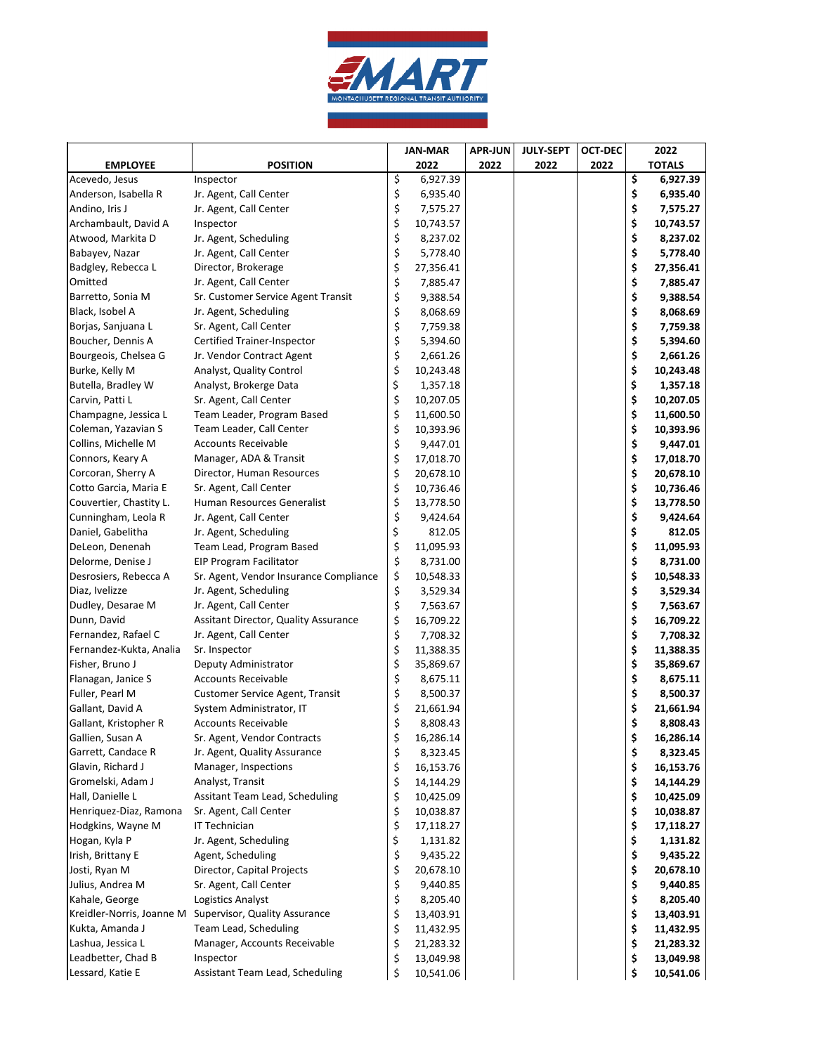

|                                         |                                                    | <b>JAN-MAR</b> |           | <b>APR-JUN</b> | <b>JULY-SEPT</b> | <b>OCT-DEC</b> | 2022            |
|-----------------------------------------|----------------------------------------------------|----------------|-----------|----------------|------------------|----------------|-----------------|
| <b>EMPLOYEE</b>                         | <b>POSITION</b>                                    |                | 2022      | 2022           | 2022             | 2022           | <b>TOTALS</b>   |
| Acevedo, Jesus                          | Inspector                                          | \$             | 6,927.39  |                |                  |                | \$<br>6,927.39  |
| Anderson, Isabella R                    | Jr. Agent, Call Center                             | \$             | 6,935.40  |                |                  |                | \$<br>6,935.40  |
| Andino, Iris J                          | Jr. Agent, Call Center                             | \$             | 7,575.27  |                |                  |                | \$<br>7,575.27  |
| Archambault, David A                    | Inspector                                          | \$             | 10,743.57 |                |                  |                | \$<br>10,743.57 |
| Atwood, Markita D                       | Jr. Agent, Scheduling                              | \$             | 8,237.02  |                |                  |                | \$<br>8,237.02  |
| Babayev, Nazar                          | Jr. Agent, Call Center                             | \$             | 5,778.40  |                |                  |                | \$<br>5,778.40  |
| Badgley, Rebecca L                      | Director, Brokerage                                | \$             | 27,356.41 |                |                  |                | \$<br>27,356.41 |
| Omitted                                 | Jr. Agent, Call Center                             | \$             | 7,885.47  |                |                  |                | \$<br>7,885.47  |
| Barretto, Sonia M                       | Sr. Customer Service Agent Transit                 | \$             | 9,388.54  |                |                  |                | \$<br>9,388.54  |
| Black, Isobel A                         | Jr. Agent, Scheduling                              | \$             | 8,068.69  |                |                  |                | \$<br>8,068.69  |
| Borjas, Sanjuana L                      | Sr. Agent, Call Center                             | \$             | 7,759.38  |                |                  |                | \$<br>7,759.38  |
| Boucher, Dennis A                       | Certified Trainer-Inspector                        | \$             | 5,394.60  |                |                  |                | \$<br>5,394.60  |
| Bourgeois, Chelsea G                    | Jr. Vendor Contract Agent                          | \$             | 2,661.26  |                |                  |                | \$<br>2,661.26  |
| Burke, Kelly M                          | Analyst, Quality Control                           | \$             | 10,243.48 |                |                  |                | \$<br>10,243.48 |
| Butella, Bradley W                      | Analyst, Brokerge Data                             | \$             | 1,357.18  |                |                  |                | \$<br>1,357.18  |
| Carvin, Patti L                         | Sr. Agent, Call Center                             | \$             | 10,207.05 |                |                  |                | \$<br>10,207.05 |
| Champagne, Jessica L                    | Team Leader, Program Based                         | \$             | 11,600.50 |                |                  |                | \$<br>11,600.50 |
| Coleman, Yazavian S                     | Team Leader, Call Center                           | \$             | 10,393.96 |                |                  |                | \$<br>10,393.96 |
| Collins, Michelle M                     | <b>Accounts Receivable</b>                         | \$             | 9,447.01  |                |                  |                | \$<br>9,447.01  |
| Connors, Keary A                        | Manager, ADA & Transit                             | \$             | 17,018.70 |                |                  |                | \$<br>17,018.70 |
| Corcoran, Sherry A                      | Director, Human Resources                          | \$             | 20,678.10 |                |                  |                | \$<br>20,678.10 |
| Cotto Garcia, Maria E                   | Sr. Agent, Call Center                             | \$             | 10,736.46 |                |                  |                | \$<br>10,736.46 |
| Couvertier, Chastity L.                 | Human Resources Generalist                         | \$             | 13,778.50 |                |                  |                | \$<br>13,778.50 |
| Cunningham, Leola R                     | Jr. Agent, Call Center                             | \$             | 9,424.64  |                |                  |                | \$<br>9,424.64  |
| Daniel, Gabelitha                       | Jr. Agent, Scheduling                              | \$             | 812.05    |                |                  |                | \$<br>812.05    |
| DeLeon, Denenah                         | Team Lead, Program Based                           | \$             | 11,095.93 |                |                  |                | \$<br>11,095.93 |
| Delorme, Denise J                       | <b>EIP Program Facilitator</b>                     | \$             | 8,731.00  |                |                  |                | \$<br>8,731.00  |
| Desrosiers, Rebecca A                   | Sr. Agent, Vendor Insurance Compliance             | \$             | 10,548.33 |                |                  |                | \$<br>10,548.33 |
| Diaz, Ivelizze                          | Jr. Agent, Scheduling                              | \$             | 3,529.34  |                |                  |                | \$<br>3,529.34  |
| Dudley, Desarae M                       | Jr. Agent, Call Center                             | \$             | 7,563.67  |                |                  |                | \$<br>7,563.67  |
| Dunn, David                             | Assitant Director, Quality Assurance               | \$             | 16,709.22 |                |                  |                | \$<br>16,709.22 |
| Fernandez, Rafael C                     | Jr. Agent, Call Center                             | \$             | 7,708.32  |                |                  |                | \$<br>7,708.32  |
| Fernandez-Kukta, Analia                 | Sr. Inspector                                      | \$             | 11,388.35 |                |                  |                | \$<br>11,388.35 |
| Fisher, Bruno J                         | Deputy Administrator                               | \$             | 35,869.67 |                |                  |                | \$<br>35,869.67 |
| Flanagan, Janice S                      | <b>Accounts Receivable</b>                         | \$             | 8,675.11  |                |                  |                | \$<br>8,675.11  |
| Fuller, Pearl M                         | Customer Service Agent, Transit                    | \$             | 8,500.37  |                |                  |                | \$<br>8,500.37  |
| Gallant, David A                        | System Administrator, IT                           | \$             | 21,661.94 |                |                  |                | \$<br>21,661.94 |
| Gallant, Kristopher R                   | <b>Accounts Receivable</b>                         | \$             | 8,808.43  |                |                  |                | \$<br>8,808.43  |
| Gallien, Susan A                        |                                                    | \$             | 16,286.14 |                |                  |                | 16.286.14       |
|                                         | Sr. Agent, Vendor Contracts                        |                |           |                |                  |                |                 |
| Garrett, Candace R<br>Glavin, Richard J | Jr. Agent, Quality Assurance                       | \$             | 8,323.45  |                |                  |                | \$<br>8,323.45  |
|                                         | Manager, Inspections                               | \$             | 16,153.76 |                |                  |                | \$<br>16,153.76 |
| Gromelski, Adam J<br>Hall, Danielle L   | Analyst, Transit<br>Assitant Team Lead, Scheduling | \$             | 14,144.29 |                |                  |                | \$<br>14,144.29 |
|                                         |                                                    | \$             | 10,425.09 |                |                  |                | \$<br>10,425.09 |
| Henriquez-Diaz, Ramona                  | Sr. Agent, Call Center                             | \$             | 10,038.87 |                |                  |                | \$<br>10,038.87 |
| Hodgkins, Wayne M                       | IT Technician                                      | \$             | 17,118.27 |                |                  |                | \$<br>17,118.27 |
| Hogan, Kyla P                           | Jr. Agent, Scheduling                              | \$             | 1,131.82  |                |                  |                | \$<br>1,131.82  |
| Irish, Brittany E                       | Agent, Scheduling                                  | \$             | 9,435.22  |                |                  |                | \$<br>9,435.22  |
| Josti, Ryan M                           | Director, Capital Projects                         | \$             | 20,678.10 |                |                  |                | \$<br>20,678.10 |
| Julius, Andrea M                        | Sr. Agent, Call Center                             | \$             | 9,440.85  |                |                  |                | \$<br>9,440.85  |
| Kahale, George                          | Logistics Analyst                                  | \$             | 8,205.40  |                |                  |                | \$<br>8,205.40  |
| Kreidler-Norris, Joanne M               | Supervisor, Quality Assurance                      | \$             | 13,403.91 |                |                  |                | \$<br>13,403.91 |
| Kukta, Amanda J                         | Team Lead, Scheduling                              | \$             | 11,432.95 |                |                  |                | \$<br>11,432.95 |
| Lashua, Jessica L                       | Manager, Accounts Receivable                       | \$             | 21,283.32 |                |                  |                | \$<br>21,283.32 |
| Leadbetter, Chad B                      | Inspector                                          | \$             | 13,049.98 |                |                  |                | \$<br>13,049.98 |
| Lessard, Katie E                        | Assistant Team Lead, Scheduling                    | \$             | 10,541.06 |                |                  |                | \$<br>10,541.06 |